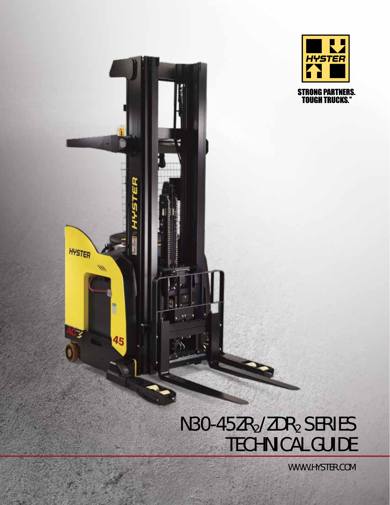

# Đ ü HYSTER  $\mathscr{M}$ HEEN 45

## N30-45ZR<sub>2</sub>/ZDR<sub>2</sub> SERIES TECHNICAL GUIDE

WWW.HYSTER.COM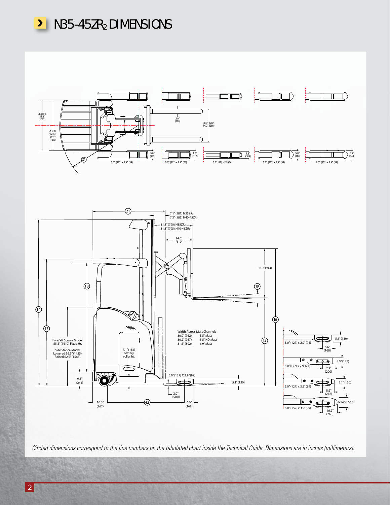



*Circled dimensions correspond to the line numbers on the tabulated chart inside the Technical Guide. Dimensions are in inches (millimeters).*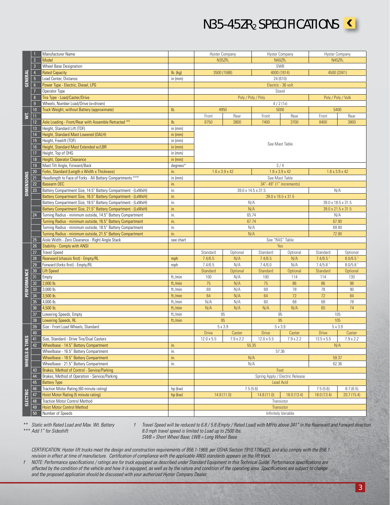≤

|                         |                 | Manufacturer Name                                             |                                                                    |                    | <b>Hyster Company</b>      |                                 | <b>Hyster Company</b>             | <b>Hyster Company</b>      |                        |  |  |  |  |
|-------------------------|-----------------|---------------------------------------------------------------|--------------------------------------------------------------------|--------------------|----------------------------|---------------------------------|-----------------------------------|----------------------------|------------------------|--|--|--|--|
|                         | $\overline{2}$  | Model                                                         |                                                                    |                    | N35ZR <sub>2</sub>         |                                 | N40ZR <sub>2</sub>                | N45ZR <sub>2</sub>         |                        |  |  |  |  |
|                         | $\overline{3}$  | <b>Wheel Base Designation</b>                                 |                                                                    |                    |                            |                                 | <b>SWB</b>                        |                            |                        |  |  |  |  |
|                         | $\overline{4}$  |                                                               |                                                                    |                    |                            |                                 |                                   |                            |                        |  |  |  |  |
|                         |                 | <b>Rated Capacity</b>                                         | $lb.$ (kg)                                                         |                    | 3500 (1588)                |                                 | 4000 (1814)                       | 4500 (2041)                |                        |  |  |  |  |
|                         | $\overline{5}$  | Load Center, Distance                                         | in $(mm)$                                                          | 24 (610)           |                            |                                 |                                   |                            |                        |  |  |  |  |
| <b>GENERAL</b>          | $6\overline{6}$ | Power Type - Electric, Diesel, LPG                            |                                                                    | Electric - 36 volt |                            |                                 |                                   |                            |                        |  |  |  |  |
|                         | 7               | Operator Type                                                 |                                                                    |                    |                            |                                 | Stand                             |                            |                        |  |  |  |  |
|                         | 8               | Tire Type - Load/Caster/Drive                                 |                                                                    |                    |                            | Poly / Poly / Poly              |                                   | Poly / Poly / Vulk         |                        |  |  |  |  |
|                         |                 |                                                               |                                                                    |                    |                            |                                 |                                   |                            |                        |  |  |  |  |
|                         | 9               | Wheels, Number Load/Drive (x=driven)                          |                                                                    |                    |                            |                                 | 4/2(1x)                           |                            |                        |  |  |  |  |
|                         | 10              | Truck Weight, without Battery (approximate)                   | lb.                                                                |                    | 4950                       |                                 | 5000                              | 5400                       |                        |  |  |  |  |
| $\overline{\mathbf{s}}$ | 11              |                                                               |                                                                    | Front              | Rear                       | Front                           | Rear                              | Front                      | Rear                   |  |  |  |  |
|                         | 12              | Axle Loading - Front/Rear with Assemble Retracted **          | lb.                                                                | 6750               | 3800                       | 7400                            | 3700                              | 8400                       | 3800                   |  |  |  |  |
|                         | 13              | Height, Standard Lift (TOF)                                   | in $(mm)$                                                          |                    |                            |                                 |                                   |                            |                        |  |  |  |  |
|                         | 14              | Height, Standard Mast Lowered (OALH)                          | in $(mm)$                                                          |                    |                            |                                 |                                   |                            |                        |  |  |  |  |
|                         |                 |                                                               |                                                                    | See Mast Table     |                            |                                 |                                   |                            |                        |  |  |  |  |
|                         | 15              | Height, Freelift (TOF)                                        | in $(mm)$                                                          |                    |                            |                                 |                                   |                            |                        |  |  |  |  |
|                         | 16              | Height, Standard Mast Extended w/LBR                          | in $(mm)$                                                          |                    |                            |                                 |                                   |                            |                        |  |  |  |  |
|                         | 17              | Height, Top of OHG                                            | in $(mm)$                                                          |                    |                            |                                 |                                   |                            |                        |  |  |  |  |
|                         | 18              | Height, Operator Clearance                                    | in $(mm)$                                                          |                    |                            |                                 |                                   |                            |                        |  |  |  |  |
|                         | 19              | Mast Tilt Angle, Forward/Back                                 | degrees <sup>o</sup>                                               |                    |                            |                                 | 3/4                               |                            |                        |  |  |  |  |
|                         | 20              | Forks, Standard (Length x Width x Thickness)                  | in.                                                                |                    | $1.6 \times 3.9 \times 42$ |                                 | $1.8 \times 3.9 \times 42$        | $1.8 \times 3.9 \times 42$ |                        |  |  |  |  |
| <b>DIMENSIONS</b>       | 21              | Headlength to Face of Forks - All Battery Compartments ***    | in $(mm)$                                                          |                    |                            |                                 | See Mast Table                    |                            |                        |  |  |  |  |
|                         |                 |                                                               |                                                                    |                    |                            |                                 |                                   |                            |                        |  |  |  |  |
|                         | $\overline{22}$ | Basearm OEC                                                   | in.                                                                |                    |                            | 34" - 49" (1" increments)       |                                   |                            |                        |  |  |  |  |
|                         | 23              | Battery Compartment Size, 14.5" Battery Compartment - (LxWxH) | in.                                                                |                    |                            | 39.0 x 14.5 x 31.5              |                                   | N/A                        |                        |  |  |  |  |
|                         |                 | Battery Compartment Size, 16.5" Battery Compartment - (LxWxH) | in.                                                                |                    |                            |                                 | 39.0 x 16.5 x 31.5                |                            |                        |  |  |  |  |
|                         |                 | Battery Compartment Size, 18.5" Battery Compartment - (LxWxH) | in.                                                                |                    |                            | N/A                             |                                   | 39.0 x 18.5 x 31.5         |                        |  |  |  |  |
|                         |                 | Battery Compartment Size, 21.5" Battery Compartment - (LxWxH) | in.                                                                |                    |                            | N/A                             |                                   | 39.0 x 21.5 x 31.5         |                        |  |  |  |  |
|                         | 24              | Turning Radius - minimum outside, 14.5" Battery Compartment   | in.                                                                |                    |                            | 65.74                           |                                   | N/A                        |                        |  |  |  |  |
|                         |                 | Turning Radius - minimum outside, 16.5" Battery Compartment   | in.                                                                |                    | 67.74                      | 67.90                           |                                   |                            |                        |  |  |  |  |
|                         |                 |                                                               | Turning Radius - minimum outside, 18.5" Battery Compartment<br>in. |                    |                            |                                 |                                   |                            | 69.90                  |  |  |  |  |
|                         |                 | Turning Radius - minimum outside, 21.5" Battery Compartment   |                                                                    |                    |                            | N/A                             |                                   |                            |                        |  |  |  |  |
|                         |                 |                                                               | in.                                                                |                    |                            | N/A                             |                                   | 72.90                      |                        |  |  |  |  |
|                         | 25              | Aisle Width - Zero Clearance - Right Angle Stack              | see chart                                                          |                    |                            |                                 | See "RAS" Table                   |                            |                        |  |  |  |  |
|                         | 26              | Stability - Comply with ANSI                                  |                                                                    |                    |                            |                                 | Yes                               |                            |                        |  |  |  |  |
|                         | 27              | <b>Travel Speed</b>                                           |                                                                    | Standard           | Optional                   | Standard                        | Optional                          | Standard                   | Optional               |  |  |  |  |
|                         | 28              | Rearward (chassis first) - Empty/RL                           | mph                                                                | 7.4/6.5            | N/A                        | 7.4/6.5                         | N/A                               | $7.4/6.5$ <sup>+</sup>     | 8.0/6.5                |  |  |  |  |
|                         | 29              | Forward (forks first) - Empty/RL                              | mph                                                                | 7.4/6.5            | N/A                        | 7.4/6.0                         | N/A                               | $7.4/5.8$ <sup>+</sup>     | $8.0/5.8$ <sup>+</sup> |  |  |  |  |
|                         | 30              | <b>Lift Speed</b>                                             |                                                                    | Standard           | Optional                   | Standard                        | Optional                          | Standard                   | Optional               |  |  |  |  |
| PERFORMANCE             | 31              | Empty                                                         | ft./min                                                            | 100                | N/A                        | 100                             | 114                               | 114                        | 130                    |  |  |  |  |
|                         | 32              | 2,000 lb                                                      | ft./min                                                            | 75                 | N/A                        | 75                              | 86                                | 86                         | 98                     |  |  |  |  |
|                         | 33              | 3,000 lb.                                                     | ft./min                                                            | 69                 | N/A                        | 69                              | 78                                | 78                         | 90                     |  |  |  |  |
|                         | 34              | 3,500 lb.                                                     | ft./min                                                            | 64                 | N/A                        | 64                              | 72                                | 72                         | 84                     |  |  |  |  |
|                         |                 |                                                               |                                                                    |                    |                            |                                 |                                   |                            |                        |  |  |  |  |
|                         | 35              | 4,000 lb.                                                     | ft./min                                                            | N/A                | N/A                        | 60                              | 68                                | 68                         | 78                     |  |  |  |  |
|                         | 36              | 4,500 lb                                                      | ft./min                                                            | N/A                | N/A                        | N/A                             | N/A                               | 65                         | 74                     |  |  |  |  |
|                         | 37              | Lowering Speeds, Empty                                        | ft./min                                                            |                    | 95                         |                                 | 95                                | 105                        |                        |  |  |  |  |
|                         | 38              | <b>Lowering Speeds, RL</b>                                    | ft./min                                                            |                    | 95                         |                                 | 95                                | 105                        |                        |  |  |  |  |
|                         | 39              | Size - Front Load Wheels, Standard                            |                                                                    |                    | $5 \times 3.9$             |                                 | $5 \times 3.9$                    | 5 x 3.9                    |                        |  |  |  |  |
|                         | 40              |                                                               |                                                                    | <b>Drive</b>       | Caster                     | <b>Drive</b>                    | Caster                            | <b>Drive</b>               | Caster                 |  |  |  |  |
|                         | 41              | Size, Standard - Drive Tire/Dual Casters                      |                                                                    | $12.0 \times 5.5$  | 7.9 x 2.2                  | 12.0 x 5.5                      | 7.9 x 2.2                         | $13.5 \times 5.5$          | 7.9 x 2.2              |  |  |  |  |
|                         | 42              | Wheelbase - 14.5" Battery Compartment                         | in.                                                                |                    |                            | 55.35                           |                                   | N/A                        |                        |  |  |  |  |
|                         |                 | Wheelbase - 16.5" Battery Compartment                         | in.                                                                |                    |                            |                                 | 57.36                             |                            |                        |  |  |  |  |
|                         |                 | Wheelbase - 18.5" Battery Compartment                         |                                                                    |                    |                            |                                 |                                   |                            |                        |  |  |  |  |
|                         |                 |                                                               | in.                                                                |                    |                            | N/A                             |                                   | 59.37                      |                        |  |  |  |  |
|                         |                 | Wheelbase - 21.5" Battery Compartment                         | in.                                                                |                    |                            | N/A                             |                                   | 62.36                      |                        |  |  |  |  |
| WHEELS & TIRES          | 43              | Brakes, Method of Control - Service/Parking                   |                                                                    |                    |                            |                                 | Foot                              |                            |                        |  |  |  |  |
|                         | 44              |                                                               |                                                                    |                    |                            | Spring Apply / Electric Release |                                   |                            |                        |  |  |  |  |
|                         |                 | Brakes, Method of Operation - Service/Parking                 |                                                                    | <b>Lead Acid</b>   |                            |                                 |                                   |                            |                        |  |  |  |  |
|                         | 45              | <b>Battery Type</b>                                           |                                                                    |                    |                            |                                 |                                   |                            |                        |  |  |  |  |
|                         | 46              | Traction Motor Rating (60 minute rating)                      | hp (kw)                                                            |                    |                            | 7.5(5.6)                        |                                   | 7.5(5.6)                   | 8.7(6.5)               |  |  |  |  |
|                         | 47              | Hoist Motor Rating (5 minute rating)                          |                                                                    |                    |                            | 14.8(11.0)                      | 18.0 (13.4)                       | 18.0 (13.4)                |                        |  |  |  |  |
|                         |                 |                                                               | hp (kw)                                                            |                    | 14.8 (11.0)                |                                 | Transistor                        |                            | 20.7 (15.4)            |  |  |  |  |
| <b>ELECTRIC</b>         | 48              | Traction Motor Control Method                                 |                                                                    |                    |                            |                                 |                                   |                            |                        |  |  |  |  |
|                         | 49<br>50        | <b>Hoist Motor Control Method</b><br>Number of Speeds         |                                                                    |                    |                            |                                 | Transistor<br>Infinitely Variable |                            |                        |  |  |  |  |

*\*\* Static with Rated Load and Max. Wt. Battery*

*\*\*\* Add 1" for Sideshift*

*† Travel Speed will be reduced to 6.8 / 5.8 (Empty / Rated Load) with MFHs above 341" in the Rearward and Forward direction. 8.0 mph travel speed is limited to Load up to 2500 lbs. SWB = Short Wheel Base; LWB = Long Wheel Base*

*CERTIFICATION: Hyster lift trucks meet the design and construction requirements of B56.1-1969, per OSHA Section 1910.178(a)(2), and also comply with the B56.1 revision in effect at time of manufacture. Certification of compliance with the applicable ANSI standards appears on the lift truck.*

*† NOTE: Performance specifications / ratings are for truck equipped as described under Standard Equipment in this Technical Guide. Performance specifications are affected by the condition of the vehicle and how it is equipped, as well as by the nature and condition of the operating area. Specifications are subject to change and the proposed application should be discussed with your authorized Hyster Company Dealer.*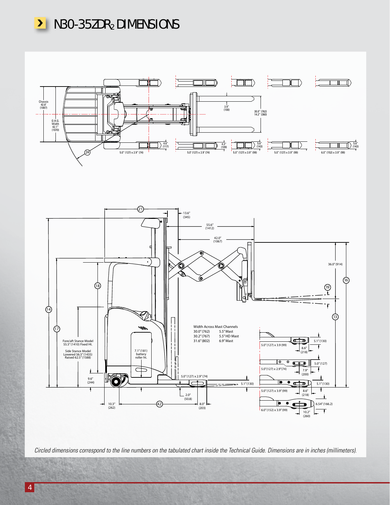



*Circled dimensions correspond to the line numbers on the tabulated chart inside the Technical Guide. Dimensions are in inches (millimeters).*

**TERGICA**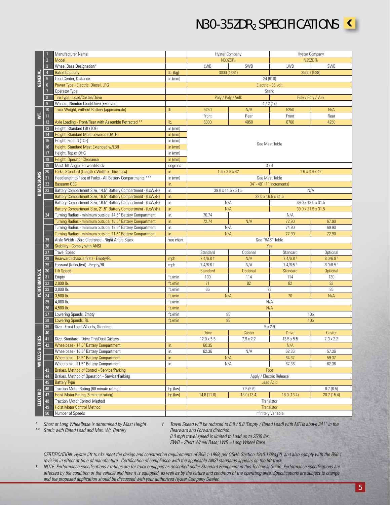N30-35ZDR2 SPECIFICATIONS

| <b>Contract Contract Contract Contract Contract Contract Contract Contract Contract Contract Contract Contract C</b> |  |
|----------------------------------------------------------------------------------------------------------------------|--|
|                                                                                                                      |  |

|                         |                 |                                                               |            |                 | <b>Hyster Company</b>       | <b>Hyster Company</b>      |                        |  |
|-------------------------|-----------------|---------------------------------------------------------------|------------|-----------------|-----------------------------|----------------------------|------------------------|--|
|                         |                 | Manufacturer Name                                             |            |                 |                             |                            |                        |  |
|                         | $\overline{2}$  | Model                                                         |            |                 | N30ZDR <sub>2</sub>         | N35ZDR <sub>2</sub>        |                        |  |
|                         | $\overline{3}$  | Wheel Base Designation*                                       |            | LWB             | <b>SWB</b>                  | LWB                        | <b>SWB</b>             |  |
|                         | $\overline{4}$  | <b>Rated Capacity</b>                                         | $lb.$ (kg) |                 | 3000 (1361)                 | 3500 (1588)                |                        |  |
| GENERAL                 | $\sqrt{5}$      | Load Center, Distance                                         | in $(mm)$  |                 | 24 (610)                    |                            |                        |  |
|                         | 6 <sup>1</sup>  | Power Type - Electric, Diesel, LPG                            |            |                 | Electric - 36 volt<br>Stand |                            |                        |  |
|                         | $\overline{7}$  | Operator Type                                                 |            |                 |                             |                            |                        |  |
|                         | 8               | Tire Type - Load/Caster/Drive                                 |            |                 | Poly / Poly / Vulk          | Poly / Poly / Vulk         |                        |  |
|                         | $\overline{9}$  | Wheels, Number Load/Drive (x=driven)                          |            |                 |                             | 4/2(1x)                    |                        |  |
|                         | 10 <sup>1</sup> | Truck Weight, without Battery (approximate)                   | lb.        | 5250            | N/A                         | 5250                       | N/A                    |  |
| $\overline{\mathsf{s}}$ | 11              |                                                               |            | Front           | Rear                        | Front                      | Rear                   |  |
|                         | 12              | Axle Loading - Front/Rear with Assemble Retracted **          | lb.        | 6300            | 4050                        | 6700                       | 4250                   |  |
|                         | 13              | Height, Standard Lift (TOF)                                   | in $(mm)$  |                 |                             |                            |                        |  |
|                         | 14              | Height, Standard Mast Lowered (OALH)                          | in $(mm)$  |                 |                             |                            |                        |  |
|                         | 15              | Height, Freelift (TOF)                                        | in $(mm)$  |                 |                             |                            |                        |  |
|                         | 16              | Height, Standard Mast Extended w/LBR                          | in $(mm)$  |                 |                             | See Mast Table             |                        |  |
|                         | 17              | Height, Top of OHG                                            | in $(mm)$  |                 |                             |                            |                        |  |
|                         | 18              | Height, Operator Clearance                                    | in $(mm)$  |                 |                             |                            |                        |  |
|                         | 19              | Mast Tilt Angle, Forward/Back                                 | degrees    |                 |                             | 3/4                        |                        |  |
|                         | 20              | Forks, Standard (Length x Width x Thickness)                  | in.        |                 | $1.6 \times 3.9 \times 42$  | $1.6 \times 3.9 \times 42$ |                        |  |
|                         | 21              | Headlength to Face of Forks - All Battery Compartments ***    | in $(mm)$  |                 |                             | See Mast Table             |                        |  |
| <b>DIMENSIONS</b>       | 22              | Basearm OEC                                                   | in.        |                 | 34" - 49" (1" increments)   |                            |                        |  |
|                         | 23              | Battery Compartment Size, 14.5" Battery Compartment - (LxWxH) | in.        |                 | 39.0 x 14.5 x 31.5          | N/A                        |                        |  |
|                         |                 | Battery Compartment Size, 16.5" Battery Compartment - (LxWxH) | in.        |                 | 39.0 x 16.5 x 31.5          |                            |                        |  |
|                         |                 | Battery Compartment Size, 18.5" Battery Compartment - (LxWxH) | in.        |                 | N/A                         |                            | 39.0 x 18.5 x 31.5     |  |
|                         |                 | Battery Compartment Size, 21.5" Battery Compartment - (LxWxH) | in.        | N/A             |                             | 39.0 x 21.5 x 31.5         |                        |  |
|                         | 24              | Turning Radius - minimum outside, 14.5" Battery Compartment   | in.        | 70.74           |                             | N/A                        |                        |  |
|                         |                 | Turning Radius - minimum outside, 16.5" Battery Compartment   | in.        | 72.74           | N/A                         | 72.90                      | 67.90                  |  |
|                         |                 | Turning Radius - minimum outside, 18.5" Battery Compartment   | in.        | N/A             |                             | 74.90                      | 69.90                  |  |
|                         |                 | Turning Radius - minimum outside, 21.5" Battery Compartment   | in.        |                 | N/A                         | 77.90                      | 72.90                  |  |
|                         | 25              | Aisle Width - Zero Clearance - Right Angle Stack              | see chart  |                 | See "RAS" Table             |                            |                        |  |
|                         | 26              | <b>Stability - Comply with ANSI</b>                           |            |                 | Yes                         |                            |                        |  |
|                         | 27              | <b>Travel Speed</b>                                           |            | Standard        | Optional                    | Standard                   | Optional               |  |
|                         | 28              | Rearward (chassis first) - Empty/RL                           | mph        | $7.4/6.8$ †     | N/A                         | $7.4/6.8$ <sup>+</sup>     | $8.0/6.8$ <sup>+</sup> |  |
|                         | 29              | Forward (forks first) - Empty/RL                              | mph        | $7.4/6.8$ †     | N/A                         | $7.4/6.5$ <sup>+</sup>     | $8.0/6.5$ <sup>+</sup> |  |
|                         | 30              | <b>Lift Speed</b>                                             |            | <b>Standard</b> | Optional                    | Standard                   | Optional               |  |
| <b>PERFORMANCE</b>      | 31              | Empty                                                         | ft./min    | 100             | 114                         | 114                        | 130                    |  |
|                         | $32\,$          | 2,000 lb.                                                     | ft./min    | 71              | 82                          | 82                         | 93                     |  |
|                         | 33              | 3,000 lb.                                                     | ft./min    | 65              |                             | 73                         | 85                     |  |
|                         | 34              | 3,500 lb.                                                     | ft./min    |                 | N/A                         | 70                         | N/A                    |  |
|                         | 35              | 4,000 lb.                                                     | ft./min    |                 | N/A                         |                            |                        |  |
|                         | 36              | 4,500 lb.                                                     | ft./min    |                 |                             | N/A                        |                        |  |
|                         | 37              | Lowering Speeds, Empty                                        | ft./min    |                 | 95                          |                            | 105                    |  |
|                         | 38              | <b>Lowering Speeds, RL</b>                                    | ft./min    |                 | 95                          |                            | 105                    |  |
|                         | 39              | Size - Front Load Wheels, Standard                            |            |                 | 5 x 2.9                     |                            |                        |  |
|                         | 40              |                                                               |            | <b>Drive</b>    | Caster                      | <b>Drive</b>               | Caster                 |  |
| WHEELS & TIRES          | 41              | Size, Standard - Drive Tire/Dual Casters                      |            | 12.0 x 5.5      | 7.9 x 2.2                   | $13.5 \times 5.5$          | $7.9 \times 2.2$       |  |
|                         | 42              | Wheelbase - 14.5" Battery Compartment                         | in.        | 60.35           |                             | N/A                        |                        |  |
|                         |                 | Wheelbase - 16.5" Battery Compartment                         | in.        | 62.36           | N/A                         | 62.36                      | 57.36                  |  |
|                         |                 | Wheelbase - 18.5" Battery Compartment                         | in.        |                 | N/A                         | 64.37                      | 59.37                  |  |
|                         |                 | Wheelbase - 21.5" Battery Compartment                         | in.        |                 | N/A                         | 67.36                      | 62.36                  |  |
|                         | 43              | Brakes, Method of Control - Service/Parking                   |            |                 | Foot                        |                            |                        |  |
|                         | 44              | Brakes, Method of Operation - Service/Parking                 |            |                 | Apply / Electric Release    |                            |                        |  |
|                         | 45              | <b>Battery Type</b>                                           |            |                 | <b>Lead Acid</b>            |                            |                        |  |
|                         | $46\,$          | Traction Motor Rating (60 minute rating)                      | hp (kw)    |                 | 7.5(5.6)                    |                            | 8.7(6.5)               |  |
|                         | 47              | Hoist Motor Rating (5 minute rating)                          | hp (kw)    | 14.8 (11.0)     | 18.0 (13.4)                 | 18.0 (13.4)<br>20.7 (15.4) |                        |  |
| <b>ELECTRIC</b>         | 48              | <b>Traction Motor Control Method</b>                          |            |                 | Transistor                  |                            |                        |  |
|                         | 49              | <b>Hoist Motor Control Method</b>                             |            |                 | <b>Transistor</b>           |                            |                        |  |
|                         | 50              | Number of Speeds                                              |            |                 | Infinitely Variable         |                            |                        |  |

*\* Short or Long Wheelbase is determined by Mast Height \*\* Static with Rated Load and Max. Wt. Battery*

*† Travel Speed will be reduced to 6.8 / 5.8 (Empty / Rated Load) with MFHs above 341" in the Rearward and Forward direction.*

*8.0 mph travel speed is limited to Load up to 2500 lbs.*

*SWB = Short Wheel Base; LWB = Long Wheel Base*

*CERTIFICATION: Hyster lift trucks meet the design and construction requirements of B56.1-1969, per OSHA Section 1910.178(a)(2), and also comply with the B56.1 revision in effect at time of manufacture. Certification of compliance with the applicable ANSI standards appears on the lift truck.*

*† NOTE: Performance specifications / ratings are for truck equipped as described under Standard Equipment in this Technical Guide. Performance specifications are affected by the condition of the vehicle and how it is equipped, as well as by the nature and condition of the operating area. Specifications are subject to change and the proposed application should be discussed with your authorized Hyster Company Dealer.*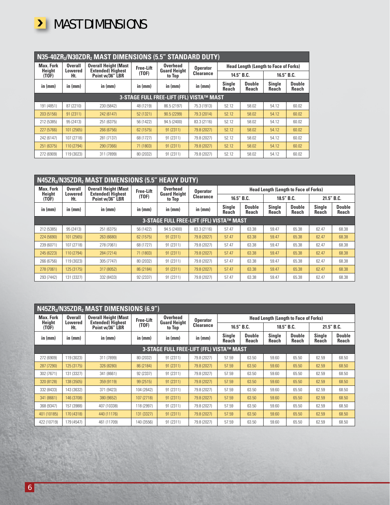

| N35-40ZR <sub>2</sub> /N30ZDR <sub>2</sub> MAST DIMENSIONS (5.5" STANDARD DUTY) |                           |                                                          |                  |                                 |                  |                               |                                              |                        |                               |  |  |  |  |
|---------------------------------------------------------------------------------|---------------------------|----------------------------------------------------------|------------------|---------------------------------|------------------|-------------------------------|----------------------------------------------|------------------------|-------------------------------|--|--|--|--|
| <b>Max. Fork</b><br><b>Height</b>                                               | <b>Overall</b><br>Lowered | <b>Overall Height (Mast</b><br><b>Extended</b> ) Highest | <b>Free-Lift</b> | Overhead<br><b>Guard Height</b> |                  |                               | <b>Head Length (Length to Face of Forks)</b> |                        |                               |  |  |  |  |
| (TOF)                                                                           | Ht.                       | Point w/36" LBR                                          | (TOF)            | to Top                          | <b>Clearance</b> |                               | 14.5" B.C.                                   | 16.5" B.C.             |                               |  |  |  |  |
| in $(mm)$                                                                       | in (mm)                   | in $(mm)$                                                | in (mm)          | in (mm)                         | in (mm)          | <b>Single</b><br><b>Reach</b> | <b>Double</b><br><b>Reach</b>                | <b>Single</b><br>Reach | <b>Double</b><br><b>Reach</b> |  |  |  |  |
| 3-STAGE FULL FREE-LIFT (FFL) VISTA™ MAST                                        |                           |                                                          |                  |                                 |                  |                               |                                              |                        |                               |  |  |  |  |
| 191 (4851)                                                                      | 87 (2210)                 | 230 (5842)                                               | 48 (1219)        | 86.5 (2197)                     | 75.3 (1913)      | 52.12                         | 58.02                                        | 54.12                  | 60.02                         |  |  |  |  |
| 203 (5156)                                                                      | 91 (2311)                 | 242 (6147)                                               | 52 (1321)        | 90.5 (2299)                     | 79.3 (2014)      | 52.12                         | 58.02                                        | 54.12                  | 60.02                         |  |  |  |  |
| 212 (5385)                                                                      | 95 (2413)                 | 251 (6375)                                               | 56 (1422)        | 94.5 (2400)                     | 83.3 (2116)      | 52.12                         | 58.02                                        | 54.12                  | 60.02                         |  |  |  |  |
| 227 (5766)                                                                      | 101 (2565)                | 266 (6756)                                               | 62 (1575)        | 91 (2311)                       | 79.8 (2027)      | 52.12                         | 58.02                                        | 54.12                  | 60.02                         |  |  |  |  |
| 242 (6147)                                                                      | 107 (2718)                | 281 (7137)                                               | 68 (1727)        | 91 (2311)                       | 79.8 (2027)      | 52.12                         | 58.02                                        | 54.12                  | 60.02                         |  |  |  |  |
| 251 (6375)                                                                      | 110 (2794)                | 290 (7366)                                               | 71 (1803)        | 91 (2311)                       | 79.8 (2027)      | 52.12                         | 58.02                                        | 54.12                  | 60.02                         |  |  |  |  |
| 272 (6909)                                                                      | 119 (3023)                | 311 (7899)                                               | 80 (2032)        | 91 (2311)                       | 79.8 (2027)      | 52.12                         | 58.02                                        | 54.12                  | 60.02                         |  |  |  |  |

|                                   | N45ZR <sub>2</sub> /N35ZDR <sub>2</sub> MAST DIMENSIONS (5.5" HEAVY DUTY) |                                                          |                  |                                 |                  |                        |                               |                                              |                        |                        |                               |  |  |
|-----------------------------------|---------------------------------------------------------------------------|----------------------------------------------------------|------------------|---------------------------------|------------------|------------------------|-------------------------------|----------------------------------------------|------------------------|------------------------|-------------------------------|--|--|
| <b>Max. Fork</b><br><b>Height</b> | <b>Overall</b><br>Lowered                                                 | <b>Overall Height (Mast</b><br><b>Extended</b> ) Highest | <b>Free-Lift</b> | Overhead<br><b>Guard Height</b> | <b>Operator</b>  |                        |                               | <b>Head Length (Length to Face of Forks)</b> |                        |                        |                               |  |  |
| (TOF)                             | Ht.                                                                       | Point w/36" LBR                                          | (TOF)            | to Top                          | <b>Clearance</b> |                        | 16.5" B.C.                    |                                              | 18.5" B.C.             | 21.5" B.C.             |                               |  |  |
| in (mm)<br>in (mm)                |                                                                           | in (mm)                                                  | in (mm)          | in (mm)                         | in (mm)          | <b>Single</b><br>Reach | <b>Double</b><br><b>Reach</b> | <b>Single</b><br>Reach                       | <b>Double</b><br>Reach | <b>Single</b><br>Reach | <b>Double</b><br><b>Reach</b> |  |  |
|                                   | 3-STAGE FULL FREE-LIFT (FFL) VISTA™ MAST                                  |                                                          |                  |                                 |                  |                        |                               |                                              |                        |                        |                               |  |  |
| 212 (5385)                        | 95 (2413)                                                                 | 251 (6375)                                               | 56 (1422)        | 94.5 (2400)                     | 83.3 (2116)      | 57.47                  | 63.38                         | 59.47                                        | 65.38                  | 62.47                  | 68.38                         |  |  |
| 224 (5690)                        | 101 (2565)                                                                | 263 (6680)                                               | 62 (1575)        | 91 (2311)                       | 79.8 (2027)      | 57.47                  | 63.38                         | 59.47                                        | 65.38                  | 62.47                  | 68.38                         |  |  |
| 239 (6071)                        | 107 (2718)                                                                | 278 (7061)                                               | 68 (1727)        | 91 (2311)                       | 79.8 (2027)      | 57.47                  | 63.38                         | 59.47                                        | 65.38                  | 62.47                  | 68.38                         |  |  |
| 245 (6223)                        | 110 (2794)                                                                | 284 (7214)                                               | 71 (1803)        | 91(2311)                        | 79.8 (2027)      | 57.47                  | 63.38                         | 59.47                                        | 65.38                  | 62.47                  | 68.38                         |  |  |
| 266 (6756)                        | 119 (3023)                                                                | 305 (7747)                                               | 80 (2032)        | 91 (2311)                       | 79.8 (2027)      | 57.47                  | 63.38                         | 59.47                                        | 65.38                  | 62.47                  | 68.38                         |  |  |
| 278 (7061)                        | 125 (3175)                                                                | 317 (8052)                                               | 86 (2184)        | 91 (2311)                       | 79.8 (2027)      | 57.47                  | 63.38                         | 59.47                                        | 65.38                  | 62.47                  | 68.38                         |  |  |
| 293 (7442)                        | 131 (3327)                                                                | 332 (8433)                                               | 92 (2337)        | 91 (2311)                       | 79.8 (2027)      | 57.47                  | 63.38                         | 59.47                                        | 65.38                  | 62.47                  | 68.38                         |  |  |

|                            | N45ZR <sub>2</sub> /N35ZDR <sub>2</sub> MAST DIMENSIONS (6.9") |                                                         |                  |                                        |                  |                                                  |            |                                              |                 |                        |                               |  |  |  |
|----------------------------|----------------------------------------------------------------|---------------------------------------------------------|------------------|----------------------------------------|------------------|--------------------------------------------------|------------|----------------------------------------------|-----------------|------------------------|-------------------------------|--|--|--|
| <b>Max. Fork</b><br>Height | <b>Overall</b><br>Lowered                                      | <b>Overall Height (Mast</b><br><b>Extended) Highest</b> | <b>Free-Lift</b> | <b>Overhead</b><br><b>Guard Height</b> | <b>Operator</b>  |                                                  |            | <b>Head Length (Length to Face of Forks)</b> |                 |                        |                               |  |  |  |
| (TOF)                      | Ht.                                                            | Point w/36" LBR                                         | (TOF)            | to Top                                 | <b>Clearance</b> |                                                  | 16.5" B.C. | 18.5" B.C.                                   |                 | 21.5" B.C.             |                               |  |  |  |
| in (mm)                    | in (mm)                                                        | in (mm)                                                 | in $(mm)$        | in (mm)                                | in (mm)          | <b>Single</b><br><b>Double</b><br>Reach<br>Reach |            | <b>Single</b><br>Reach                       | Double<br>Reach | <b>Single</b><br>Reach | <b>Double</b><br><b>Reach</b> |  |  |  |
|                            | 3-STAGE FULL FREE-LIFT (FFL) VISTA™ MAST                       |                                                         |                  |                                        |                  |                                                  |            |                                              |                 |                        |                               |  |  |  |
| 272 (6909)                 | 119 (3023)                                                     | 311 (7899)                                              | 80 (2032)        | 91 (2311)                              | 79.8 (2027)      | 57.59                                            | 63.50      | 59.60                                        | 65.50           | 62.59                  | 68.50                         |  |  |  |
| 287 (7290)                 | 125 (3175)                                                     | 326 (8280)                                              | 86 (2184)        | 91 (2311)                              | 79.8 (2027)      | 57.59                                            | 63.50      | 59.60                                        | 65.50           | 62.59                  | 68.50                         |  |  |  |
| 302 (7671)                 | 131 (3327)                                                     | 341 (8661)                                              | 92 (2337)        | 91 (2311)                              | 79.8 (2027)      | 57.59                                            | 63.50      | 59.60                                        | 65.50           | 62.59                  | 68.50                         |  |  |  |
| 320 (8128)                 | 138 (3505)                                                     | 359 (9119)                                              | 99 (2515)        | 91 (2311)                              | 79.8 (2027)      | 57.59                                            | 63.50      | 59.60                                        | 65.50           | 62.59                  | 68.50                         |  |  |  |
| 332 (8433)                 | 143 (3632)                                                     | 371 (9423)                                              | 104 (2642)       | 91 (2311)                              | 79.8 (2027)      | 57.59                                            | 63.50      | 59.60                                        | 65.50           | 62.59                  | 68.50                         |  |  |  |
| 341 (8661)                 | 146 (3708)                                                     | 380 (9652)                                              | 107 (2718)       | 91 (2311)                              | 79.8 (2027)      | 57.59                                            | 63.50      | 59.60                                        | 65.50           | 62.59                  | 68.50                         |  |  |  |
| 368 (9347)                 | 157 (3988)                                                     | 407 (10338)                                             | 118 (2997)       | 91 (2311)                              | 79.8 (2027)      | 57.59                                            | 63.50      | 59.60                                        | 65.50           | 62.59                  | 68.50                         |  |  |  |
| 401 (10185)                | 170 (4318)                                                     | 440 (11176)                                             | 131 (3327)       | 91 (2311)                              | 79.8 (2027)      | 57.59                                            | 63.50      | 59.60                                        | 65.50           | 62.59                  | 68.50                         |  |  |  |
| 422 (10719)                | 179 (4547)                                                     | 461 (11709)                                             | 140 (3556)       | 91 (2311)                              | 79.8 (2027)      | 57.59                                            | 63.50      | 59.60                                        | 65.50           | 62.59                  | 68.50                         |  |  |  |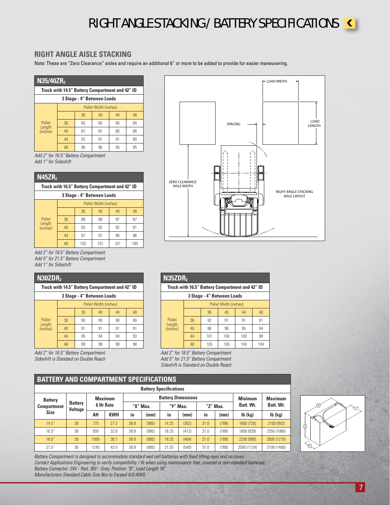### RIGHT ANGLE STACKING / BATTERY SPECIFICATIONS



#### **RIGHT ANGLE AISLE STACKING**

Note: These are "Zero Clearance" aisles and require an additional 6" or more to be added to provide for easier maneuvering.

| N35/40ZR <sub>2</sub>                           |                       |    |    |    |    |  |  |  |  |  |
|-------------------------------------------------|-----------------------|----|----|----|----|--|--|--|--|--|
| Truck with 14.5" Battery Compartment and 42" ID |                       |    |    |    |    |  |  |  |  |  |
| 3 Stage - 4" Between Loads                      |                       |    |    |    |    |  |  |  |  |  |
|                                                 | Pallet Width (inches) |    |    |    |    |  |  |  |  |  |
|                                                 |                       | 36 | 40 | 44 | 48 |  |  |  |  |  |
| Pallet                                          | 36                    | 85 | 85 | 85 | 85 |  |  |  |  |  |
| Length<br>(inches)                              | 40                    | 87 | 87 | 86 | 86 |  |  |  |  |  |
|                                                 | 44                    | 92 | 91 | 91 | 90 |  |  |  |  |  |
|                                                 | 48                    | 96 | 96 | 95 | 95 |  |  |  |  |  |

*Add 2" for 16.5" Battery Compartment Add 1" for Sideshift*

| N45ZR <sub>2</sub>                              |                       |     |     |     |     |  |  |  |  |  |
|-------------------------------------------------|-----------------------|-----|-----|-----|-----|--|--|--|--|--|
| Truck with 16.5" Battery Compartment and 42" ID |                       |     |     |     |     |  |  |  |  |  |
| 3 Stage - 4" Between Loads                      |                       |     |     |     |     |  |  |  |  |  |
|                                                 | Pallet Width (inches) |     |     |     |     |  |  |  |  |  |
|                                                 |                       | 36  | 40  | 44  | 48  |  |  |  |  |  |
| Pallet                                          | 36                    | 88  | 88  | 87  | 87  |  |  |  |  |  |
| Length<br>(inches)                              | 40                    | 93  | 92  | 92  | 91  |  |  |  |  |  |
|                                                 | 44                    | 97  | 97  | 96  | 96  |  |  |  |  |  |
|                                                 | 48                    | 102 | 101 | 101 | 100 |  |  |  |  |  |

*Add 2" for 18.5" Battery Compartment Add 5" for 21.5" Battery Compartment Add 1" for Sideshift*

| N30ZDR <sub>2</sub>                             |                       |    |    |    |    |  |  |  |  |  |
|-------------------------------------------------|-----------------------|----|----|----|----|--|--|--|--|--|
| Truck with 14.5" Battery Compartment and 42" ID |                       |    |    |    |    |  |  |  |  |  |
| 3 Stage - 4" Between Loads                      |                       |    |    |    |    |  |  |  |  |  |
|                                                 | Pallet Width (inches) |    |    |    |    |  |  |  |  |  |
|                                                 |                       | 36 | 40 | 44 | 48 |  |  |  |  |  |
| Pallet                                          | 36                    | 90 | 90 | 90 | 90 |  |  |  |  |  |
| Length<br>(inches)                              | 40                    | 91 | 91 | 91 | 91 |  |  |  |  |  |
|                                                 | 44                    | 95 | 94 | 94 | 93 |  |  |  |  |  |
|                                                 | 48                    | 99 | 99 | 98 | 98 |  |  |  |  |  |

*Add 2" for 16.5" Battery Compartment Sideshift is Standard on Double Reach*



|  | N35ZDR <sub>2</sub>        |                       |                                                 |     |     |     |  |  |  |  |  |
|--|----------------------------|-----------------------|-------------------------------------------------|-----|-----|-----|--|--|--|--|--|
|  |                            |                       | Truck with 16.5" Battery Compartment and 42" ID |     |     |     |  |  |  |  |  |
|  | 3 Stage - 4" Between Loads |                       |                                                 |     |     |     |  |  |  |  |  |
|  |                            | Pallet Width (inches) |                                                 |     |     |     |  |  |  |  |  |
|  |                            |                       | 36                                              | 40  | 44  | 48  |  |  |  |  |  |
|  | Pallet<br>Length           | 36                    | 92                                              | 91  | 91  | 91  |  |  |  |  |  |
|  | (inches)                   | 40                    | 96                                              | 96  | 95  | 94  |  |  |  |  |  |
|  |                            | 44                    | 101                                             | 100 | 100 | 99  |  |  |  |  |  |
|  |                            | 48                    | 105                                             | 105 | 104 | 104 |  |  |  |  |  |

*Add 2" for 18.5" Battery Compartment Add 5" for 21.5" Battery Compartment Sideshift is Standard on Double Reach*

#### **BATTERY AND COMPARTMENT SPECIFICATIONS**

|                    | <b>Battery Specifications</b> |           |                |          |       |                           |                |                |       |               |               |  |  |  |
|--------------------|-------------------------------|-----------|----------------|----------|-------|---------------------------|----------------|----------------|-------|---------------|---------------|--|--|--|
|                    | <b>Battery</b>                |           | <b>Maximum</b> |          |       | <b>Battery Dimensions</b> | <b>Minimum</b> | <b>Maximum</b> |       |               |               |  |  |  |
| <b>Compartment</b> | <b>Battery</b><br>Voltage     | 6 Hr Rate |                | "X" Max. |       | "Y" Max.                  |                | "Z" Max.       |       | Batt. Wt.     | Batt. Wt.     |  |  |  |
| <b>Size</b>        |                               | AH        | <b>KWH</b>     | in       | (mm)  | -in                       | (mm)           | in             | (mm)  | $Ib$ ( $kq$ ) | $Ib$ ( $kg$ ) |  |  |  |
| 14.5''             | 36                            | 775       | 77.7           | 38.8     | (985) | 14.25                     | (362)          | 31.0           | (788) | 1600 (726)    | 2100 (953)    |  |  |  |
| 16.5''             | 36                            | 930       | 32.6           | 38.8     | (985) | 16.25                     | (413)          | 31.0           | (788) | 1850 (839)    | 2350 (1066)   |  |  |  |
| 18.5''             | 36                            | 1085      | 38.1           | 38.8     | (985) | 18.25                     | (464)          | 31.0           | (788) | 2200 (998)    | 2800 (1270)   |  |  |  |
| 21.5''             | 36                            | 1240      | 43.5           | 38.8     | (985) | 21.25                     | (540)          | 31.0           | (788) | 2500 (1134)   | 3100 (1406)   |  |  |  |

406 TYP. (16 in.) X Z  $\widehat{(\Upsilon)}$ 

*Battery Compartment is designed to accommodate standard wet cell batteries with fixed lifting eyes and no cover. Contact Applications Engineering to verify compatibility / fit when using maintenance free, covered or non-standard batteries.*

*Battery Connector: 24V - Red; 36V - Gray; Position "B", Lead Length 16"*

*Manufacturers Standard Cable Size Not to Exceed 4/0 AWG*